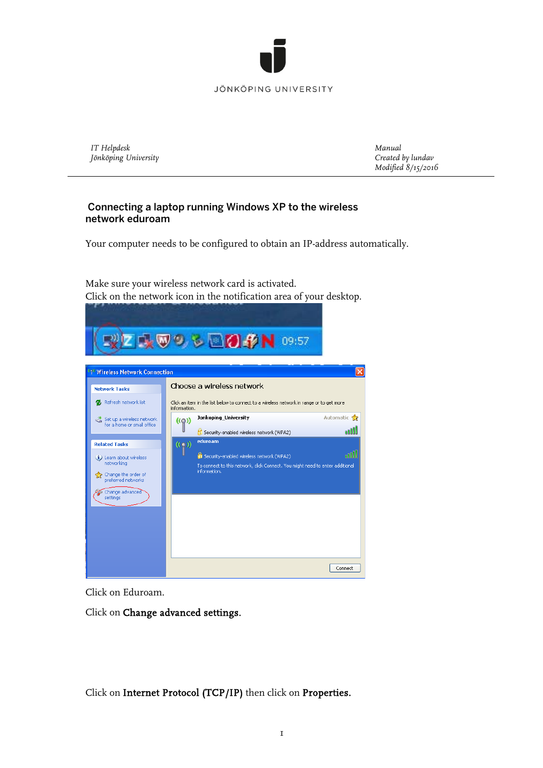

## JÖNKÖPING UNIVERSITY

*IT Helpdesk Jönköping University* *Manual Created by lundav Modified 8/15/2016*

## Connecting a laptop running Windows XP to the wireless network eduroam

Your computer needs to be configured to obtain an IP-address automatically.

Make sure your wireless network card is activated. Click on the network icon in the notification area of your desktop.



Click on Eduroam.

Click on Change advanced settings.

Click on Internet Protocol (TCP/IP) then click on Properties.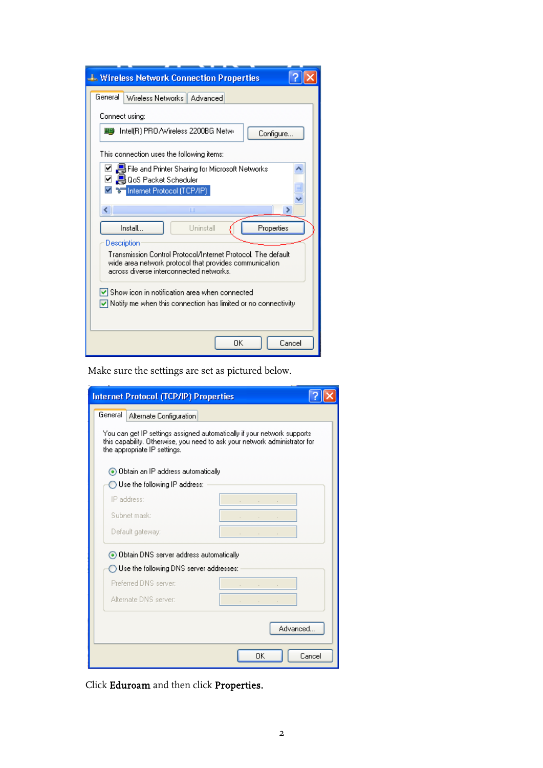| <b>4. Wireless Network Connection Properties</b>                                                                                                                  |
|-------------------------------------------------------------------------------------------------------------------------------------------------------------------|
| General<br>Wireless Networks   Advanced                                                                                                                           |
| Connect using:                                                                                                                                                    |
| ■ Intel(R) PRO / Wireless 2200BG Netwr<br>Configure                                                                                                               |
| This connection uses the following items:                                                                                                                         |
| ☑ ■ File and Printer Sharing for Microsoft Networks<br>☑ 및 QoS Packet Scheduler                                                                                   |
| <u>ज</u> वि⊟Internet Protocol (TCP/IP)                                                                                                                            |
| ШI                                                                                                                                                                |
| Uninstall<br>Install<br>Properties                                                                                                                                |
| Description                                                                                                                                                       |
| Transmission Control Protocol/Internet Protocol. The default<br>wide area network protocol that provides communication<br>across diverse interconnected networks. |
|                                                                                                                                                                   |
| Show icon in notification area when connected<br>$\sqrt{\phantom{a}}$ Notify me when this connection has limited or no connectivity                               |
|                                                                                                                                                                   |
|                                                                                                                                                                   |
| OΚ<br>Cancel                                                                                                                                                      |

Make sure the settings are set as pictured below.

| Internet Protocol (TCP/IP) Properties                                                                                                                                                 |                               |  |  |
|---------------------------------------------------------------------------------------------------------------------------------------------------------------------------------------|-------------------------------|--|--|
| General<br>Alternate Configuration                                                                                                                                                    |                               |  |  |
| You can get IP settings assigned automatically if your network supports<br>this capability. Otherwise, you need to ask your network administrator for<br>the appropriate IP settings. |                               |  |  |
| ● Obtain an IP address automatically                                                                                                                                                  |                               |  |  |
| $\bigcap$ Use the following IP address:                                                                                                                                               |                               |  |  |
| IP address:                                                                                                                                                                           | the control of the control of |  |  |
| Suhnet mask:                                                                                                                                                                          |                               |  |  |
| Default gateway:                                                                                                                                                                      |                               |  |  |
| ⊙ Obtain DNS server address automatically                                                                                                                                             |                               |  |  |
| Use the following DNS server addresses:                                                                                                                                               |                               |  |  |
| Preferred DNS server:                                                                                                                                                                 |                               |  |  |
| Alternate DNS server:                                                                                                                                                                 | and the state of the          |  |  |
|                                                                                                                                                                                       | Advanced                      |  |  |
|                                                                                                                                                                                       | OΚ<br>Cancel                  |  |  |

Click Eduroam and then click Properties.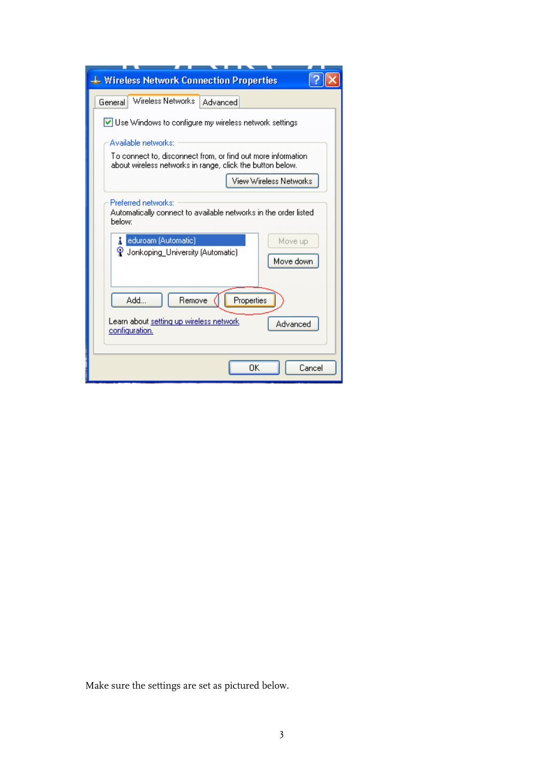| <b>4. Wireless Network Connection Properties</b>                                                                                                                                      |
|---------------------------------------------------------------------------------------------------------------------------------------------------------------------------------------|
| Wireless Networks<br>General<br>Advanced                                                                                                                                              |
| $\vee$ Use Windows to configure my wireless network settings                                                                                                                          |
| Available networks:                                                                                                                                                                   |
| To connect to, disconnect from, or find out more information.<br>about wireless networks in range, click the button below.                                                            |
| View Wireless Networks                                                                                                                                                                |
| Preferred networks:<br>Automatically connect to available networks in the order listed<br>helow:<br>eduroam (Automatic)<br>Move up<br>V Jonkoping University (Automatic)<br>Move down |
| Properties<br>Add<br>Remove                                                                                                                                                           |
| Learn about setting up wireless network<br>Advanced<br>configuration.                                                                                                                 |
| OΚ<br>Cancel                                                                                                                                                                          |

Make sure the settings are set as pictured below.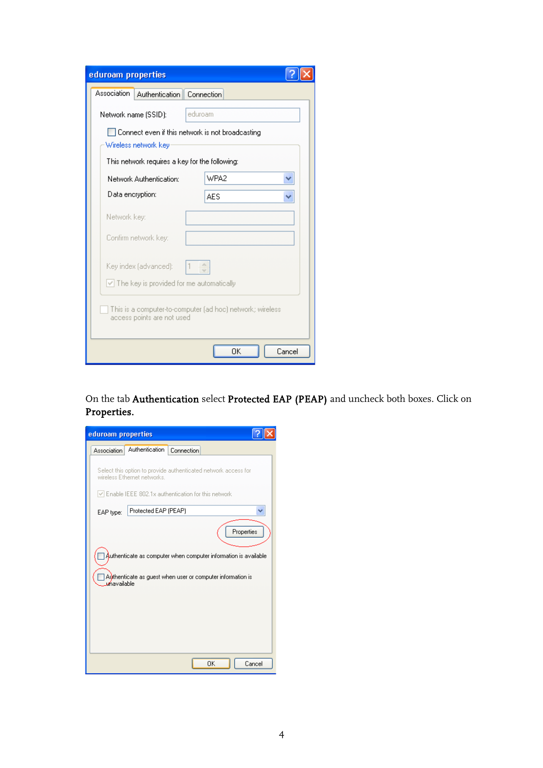| eduroam properties                                                                                                                                                        |            |  |  |  |
|---------------------------------------------------------------------------------------------------------------------------------------------------------------------------|------------|--|--|--|
| Association<br>Authentication   Connection                                                                                                                                |            |  |  |  |
| Network name (SSID):                                                                                                                                                      | eduroam    |  |  |  |
| Connect even if this network is not broadcasting                                                                                                                          |            |  |  |  |
| Wireless network key                                                                                                                                                      |            |  |  |  |
| This network requires a key for the following:                                                                                                                            |            |  |  |  |
| Network Authentication:                                                                                                                                                   | WPA2       |  |  |  |
| Data encryption:                                                                                                                                                          | <b>AES</b> |  |  |  |
| Network key:                                                                                                                                                              |            |  |  |  |
| Confirm network key:                                                                                                                                                      |            |  |  |  |
| A.<br>Key index (advanced):<br>$\vee$ The key is provided for me automatically<br>This is a computer-to-computer (ad hoc) network; wireless<br>access points are not used |            |  |  |  |
| ΩK<br>Cancel                                                                                                                                                              |            |  |  |  |

On the tab Authentication select Protected EAP (PEAP) and uncheck both boxes. Click on Properties.

| eduroam properties                                                                                                                                         |  |  |
|------------------------------------------------------------------------------------------------------------------------------------------------------------|--|--|
| Authentication<br>Connection<br><b>Association</b>                                                                                                         |  |  |
| Select this option to provide authenticated network access for<br>wireless Ethernet networks.<br>$\vee$ Enable IEEE 802.1x authentication for this network |  |  |
| Protected EAP (PEAP)                                                                                                                                       |  |  |
| EAP type:                                                                                                                                                  |  |  |
| Properties                                                                                                                                                 |  |  |
| Authenticate as computer when computer information is available.                                                                                           |  |  |
|                                                                                                                                                            |  |  |
| Authenticate as guest when user or computer information is<br><b>u</b> ńavailable                                                                          |  |  |
|                                                                                                                                                            |  |  |
|                                                                                                                                                            |  |  |
|                                                                                                                                                            |  |  |
|                                                                                                                                                            |  |  |
|                                                                                                                                                            |  |  |
| ΟK<br>Cancel                                                                                                                                               |  |  |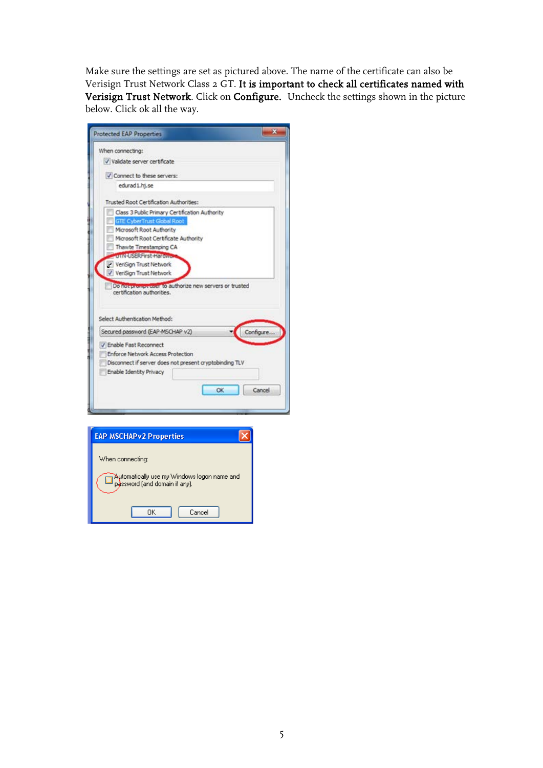Make sure the settings are set as pictured above. The name of the certificate can also be Verisign Trust Network Class 2 GT. It i**s important to check all certificates named with** Verisign Trust Network. Click on Configure. Uncheck the settings shown in the picture below. Click ok all the way.

| <b>Protected EAP Properties</b>                                                                                                                    |  |           |
|----------------------------------------------------------------------------------------------------------------------------------------------------|--|-----------|
| When connecting:                                                                                                                                   |  |           |
| V Validate server certificate                                                                                                                      |  |           |
| Connect to these servers:                                                                                                                          |  |           |
| edurad 1.hi.se                                                                                                                                     |  |           |
| Trusted Root Certification Authorities:                                                                                                            |  |           |
| Class 3 Public Primary Certification Authority                                                                                                     |  |           |
| <b>GTE CyberTrust Global Root</b>                                                                                                                  |  |           |
| Microsoft Root Authority                                                                                                                           |  |           |
| Microsoft Root Certificate Authority                                                                                                               |  |           |
| Thawte Timestamping CA                                                                                                                             |  |           |
| onvetseerinst Hartman                                                                                                                              |  |           |
| VeriSign Trust Network                                                                                                                             |  |           |
| V VeriSign Trust Network                                                                                                                           |  |           |
| Do not prompt user to authorize new servers or trusted<br>certification authorities.<br>Select Authentication Method:                              |  |           |
| Secured password (EAP-MSCHAP v2)                                                                                                                   |  | Configure |
| V Enable Fast Reconnect<br>Enforce Network Access Protection<br>Disconnect if server does not present cryptobinding TLV<br>Enable Identity Privacy |  |           |

| <b>EAP MSCHAPv2 Properties</b>                                               |
|------------------------------------------------------------------------------|
| When connecting:                                                             |
|                                                                              |
| Automatically use my Windows logon name and<br>password (and domain if any). |
|                                                                              |
| Cancel<br>OΚ                                                                 |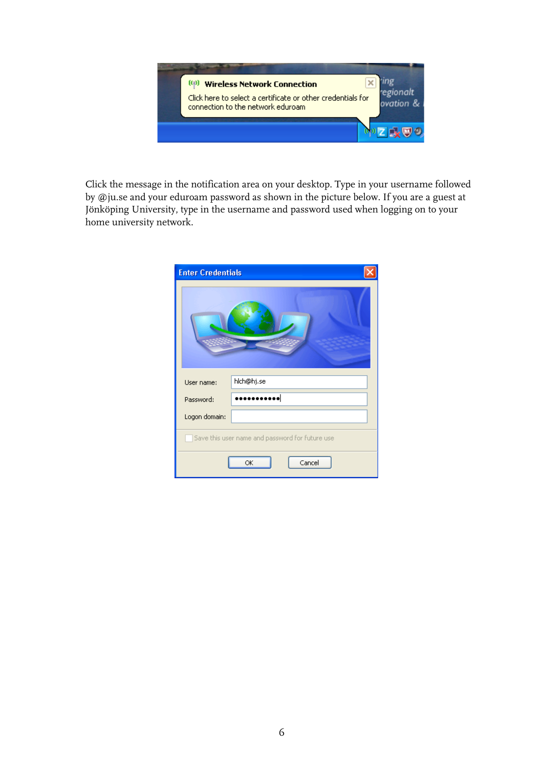

Click the message in the notification area on your desktop. Type in your username followed by @ju.se and your eduroam password as shown in the picture below. If you are a guest at Jönköping University, type in the username and password used when logging on to your home university network.

| <b>Enter Credentials</b>                        |              |  |  |
|-------------------------------------------------|--------------|--|--|
|                                                 |              |  |  |
| User name:                                      | hich@hj.se   |  |  |
| Password:                                       | .            |  |  |
| Logon domain:                                   |              |  |  |
| Save this user name and password for future use |              |  |  |
|                                                 | Cancel<br>ОK |  |  |